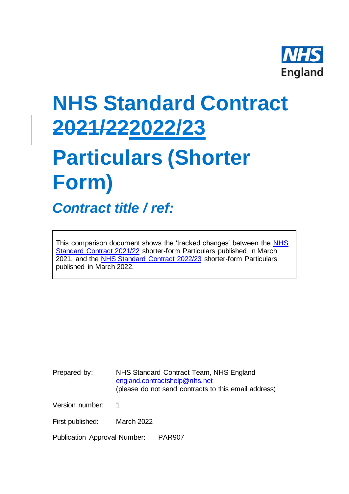

# **NHS Standard Contract 2021/222022/23 Particulars (Shorter**

# **Form)**

*Contract title / ref:*

This comparison document shows the 'tracked changes' between the [NHS](https://www.england.nhs.uk/nhs-standard-contract/21-22/shorter-form-nhs-standard-contract-2021-22-particulars-service-conditions-general-conditions/)  [Standard Contract 2021/22](https://www.england.nhs.uk/nhs-standard-contract/21-22/shorter-form-nhs-standard-contract-2021-22-particulars-service-conditions-general-conditions/) shorter-form Particulars published in March 2021, and the [NHS Standard Contract 2022/23](https://www.england.nhs.uk/nhs-standard-contract/) shorter-form Particulars published in March 2022.

Prepared by: NHS Standard Contract Team, NHS England [england.contractshelp@nhs.net](mailto:england.contractshelp@nhs.net) (please do not send contracts to this email address)

Version number: 1

First published: March 2022

Publication Approval Number: PAR907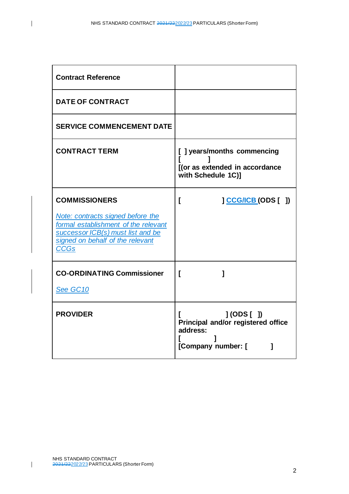| <b>Contract Reference</b>                                                                                                                                                                 |                                                                                            |
|-------------------------------------------------------------------------------------------------------------------------------------------------------------------------------------------|--------------------------------------------------------------------------------------------|
| <b>DATE OF CONTRACT</b>                                                                                                                                                                   |                                                                                            |
| <b>SERVICE COMMENCEMENT DATE</b>                                                                                                                                                          |                                                                                            |
| <b>CONTRACT TERM</b>                                                                                                                                                                      | [] years/months commencing<br>[(or as extended in accordance<br>with Schedule 1C)]         |
| <b>COMMISSIONERS</b><br>Note: contracts signed before the<br>formal establishment of the relevant<br>successor ICB(s) must list and be<br>signed on behalf of the relevant<br><b>CCGs</b> | <b>CCG/ICB (ODS [ ])</b><br>I                                                              |
| <b>CO-ORDINATING Commissioner</b><br>See GC10                                                                                                                                             | ſ<br>1                                                                                     |
| <b>PROVIDER</b>                                                                                                                                                                           | $J(ODS[$ $])$<br>Principal and/or registered office<br>address:<br>[Company number: [<br>1 |

 $\overline{1}$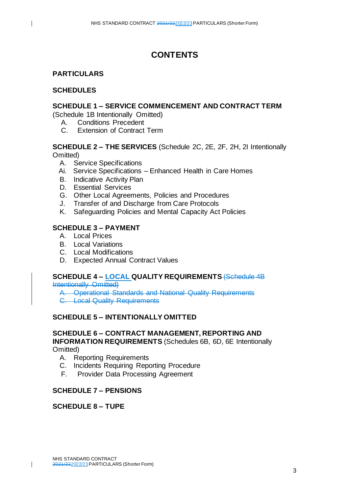# **CONTENTS**

# **PARTICULARS**

# **SCHEDULES**

 $\overline{1}$ 

# **SCHEDULE 1 – SERVICE COMMENCEMENT AND CONTRACT TERM**

(Schedule 1B Intentionally Omitted)

- A. Conditions Precedent
- C. Extension of Contract Term

# **SCHEDULE 2 – THE SERVICES** (Schedule 2C, 2E, 2F, 2H, 2I Intentionally Omitted)

- A. Service Specifications
- Ai. Service Specifications Enhanced Health in Care Homes
- B. Indicative Activity Plan
- D. Essential Services
- G. Other Local Agreements, Policies and Procedures
- J. Transfer of and Discharge from Care Protocols
- K. Safeguarding Policies and Mental Capacity Act Policies

# **SCHEDULE 3 – PAYMENT**

- A. Local Prices
- B. Local Variations
- C. Local Modifications
- D. Expected Annual Contract Values

# **SCHEDULE 4 – LOCAL QUALITY REQUIREMENTS** (Schedule 4B

Intentionally Omitted)

A. Operational Standards and National Quality Requirements C. Local Quality Requirements

# **SCHEDULE 5 – INTENTIONALLY OMITTED**

### **SCHEDULE 6 – CONTRACT MANAGEMENT, REPORTING AND INFORMATION REQUIREMENTS** (Schedules 6B, 6D, 6E Intentionally Omitted)

- A. Reporting Requirements
- C. Incidents Requiring Reporting Procedure
- F. Provider Data Processing Agreement

# **SCHEDULE 7 – PENSIONS**

# **SCHEDULE 8 – TUPE**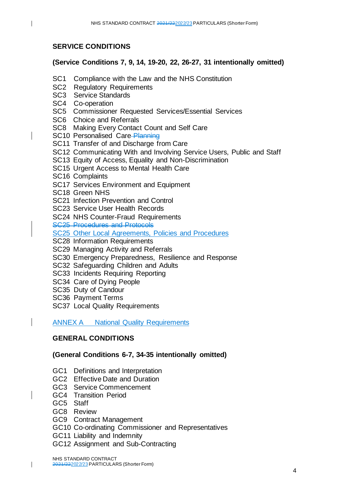# **SERVICE CONDITIONS**

 $\mathbf{I}$ 

# **(Service Conditions 7, 9, 14, 19-20, 22, 26-27, 31 intentionally omitted)**

- SC1 Compliance with the Law and the NHS Constitution
- SC2 Regulatory Requirements
- SC3 Service Standards
- SC4 Co-operation
- SC5 Commissioner Requested Services/Essential Services
- SC6 Choice and Referrals
- SC8 Making Every Contact Count and Self Care
- SC10 Personalised Care-Planning
- SC11 Transfer of and Discharge from Care
- SC12 Communicating With and Involving Service Users, Public and Staff
- SC13 Equity of Access, Equality and Non-Discrimination
- SC15 Urgent Access to Mental Health Care
- SC16 Complaints
- SC17 Services Environment and Equipment
- SC18 Green NHS
- SC21 Infection Prevention and Control
- SC23 Service User Health Records
- SC24 NHS Counter-Fraud Requirements
- SC25 Procedures and Protocols
- SC25 Other Local Agreements, Policies and Procedures
- SC28 Information Requirements
- SC29 Managing Activity and Referrals
- SC30 Emergency Preparedness, Resilience and Response
- SC32 Safeguarding Children and Adults
- SC33 Incidents Requiring Reporting
- SC34 Care of Dying People
- SC35 Duty of Candour
- SC36 Payment Terms
- SC37 Local Quality Requirements

ANNEX A National Quality Requirements

# **GENERAL CONDITIONS**

# **(General Conditions 6-7, 34-35 intentionally omitted)**

- GC1 Definitions and Interpretation
- GC2 Effective Date and Duration
- GC3 Service Commencement
- GC4 Transition Period
- GC5 Staff
- GC8 Review
- GC9 Contract Management
- GC10 Co-ordinating Commissioner and Representatives
- GC11 Liability and Indemnity
- GC12 Assignment and Sub-Contracting
- NHS STANDARD CONTRACT 2021/222022/23PARTICULARS (Shorter Form)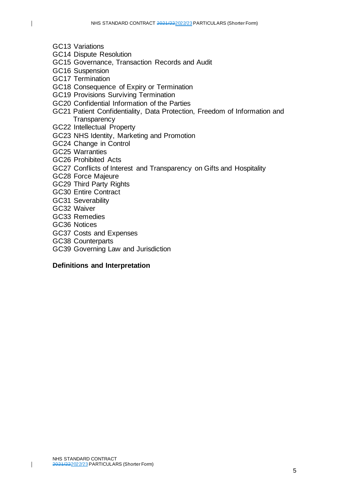- $\overline{1}$
- GC13 Variations
- GC14 Dispute Resolution
- GC15 Governance, Transaction Records and Audit
- GC16 Suspension
- GC17 Termination
- GC18 Consequence of Expiry or Termination
- GC19 Provisions Surviving Termination
- GC20 Confidential Information of the Parties
- GC21 Patient Confidentiality, Data Protection, Freedom of Information and **Transparency**
- GC22 Intellectual Property
- GC23 NHS Identity, Marketing and Promotion
- GC24 Change in Control
- GC25 Warranties
- GC26 Prohibited Acts
- GC27 Conflicts of Interest and Transparency on Gifts and Hospitality
- GC28 Force Majeure
- GC29 Third Party Rights
- GC30 Entire Contract
- GC31 Severability
- GC32 Waiver
- GC33 Remedies
- GC36 Notices
- GC37 Costs and Expenses
- GC38 Counterparts
- GC39 Governing Law and Jurisdiction

#### **Definitions and Interpretation**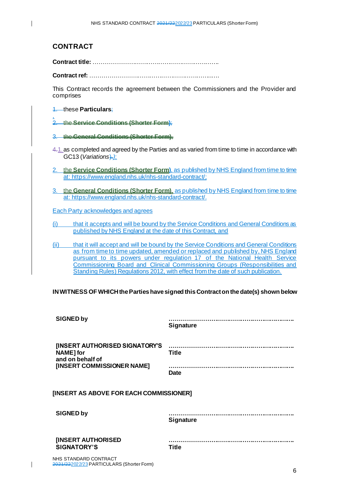# **CONTRACT**

 $\overline{1}$ 

**Contract title:** ……………………………………………………….

**Contract ref:** ……………………………………………………..….

This Contract records the agreement between the Commissioners and the Provider and comprises

#### 1. these **Particulars**;

, 2. the **Service Conditions (Shorter Form)**;

- 3. the **General Conditions (Shorter Form)**,
- 4.1.as completed and agreed by the Parties and as varied from time to time in accordance with GC13 (*Variations*).*)*;
- 2. the **Service Conditions (Shorter Form)**, as published by NHS England from time to time at: [https://www.england.nhs.uk/nhs-standard-contract/](https://www.england.nhs.uk/nhs-standard-contract/;);
- 3. the **General Conditions (Shorter Form)**, as published by NHS England from time to time at:<https://www.england.nhs.uk/nhs-standard-contract/>.

Each Party acknowledges and agrees

(i) that it accepts and will be bound by the Service Conditions and General Conditions as published by NHS England at the date of this Contract, and

(ii) that it will accept and will be bound by the Service Conditions and General Conditions as from time to time updated, amended or replaced and published by, NHS England pursuant to its powers under regulation 17 of the National Health Service Commissioning Board and Clinical Commissioning Groups (Responsibilities and Standing Rules) Regulations 2012, with effect from the date of such publication.

#### **IN WITNESS OF WHICH the Parties have signed this Contract on the date(s) shown below**

| <b>SIGNED by</b>                                                | <b>Signature</b> |
|-----------------------------------------------------------------|------------------|
| [INSERT AUTHORISED SIGNATORY'S<br>NAME] for<br>and on behalf of | <b>Title</b>     |
| [INSERT COMMISSIONER NAME]                                      | <b>Date</b>      |
| [INSERT AS ABOVE FOR EACH COMMISSIONER]                         |                  |
| <b>SIGNED by</b>                                                | <b>Signature</b> |
| [INSERT AUTHORISED<br><b>SIGNATORY'S</b>                        | <b>Title</b>     |
| NHS STANDARD CONTRACT                                           |                  |

NHS STANDARD CONTRACT 2021/222022/23PARTICULARS (Shorter Form)

ı

6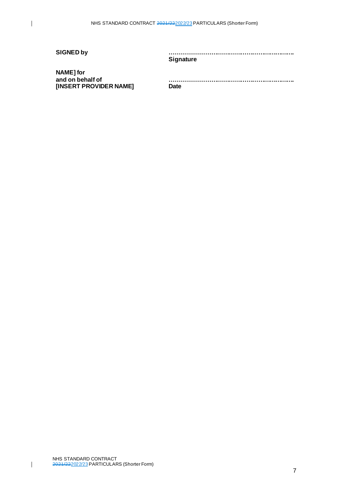$\overline{\phantom{a}}$ 

**SIGNED by ………………………………………………………. Signature**

**NAME] for and on behalf of [INSERT PROVIDER NAME]**

**………………………………………………………. Date**

7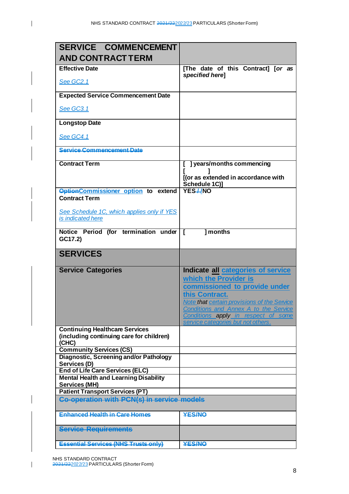$\overline{\phantom{a}}$ 

| SERVICE COMMENCEMENT                                                                   |                                                                                                                                                                                                                                                      |
|----------------------------------------------------------------------------------------|------------------------------------------------------------------------------------------------------------------------------------------------------------------------------------------------------------------------------------------------------|
| <b>AND CONTRACT TERM</b>                                                               |                                                                                                                                                                                                                                                      |
| <b>Effective Date</b>                                                                  | [The date of this Contract] [or as                                                                                                                                                                                                                   |
| See GC2.1                                                                              | specified herel                                                                                                                                                                                                                                      |
| <b>Expected Service Commencement Date</b>                                              |                                                                                                                                                                                                                                                      |
| <b>See GC3.1</b>                                                                       |                                                                                                                                                                                                                                                      |
| <b>Longstop Date</b>                                                                   |                                                                                                                                                                                                                                                      |
| See GC4.1                                                                              |                                                                                                                                                                                                                                                      |
| <b>Service Commencement Date</b>                                                       |                                                                                                                                                                                                                                                      |
| <b>Contract Term</b>                                                                   | ] years/months commencing<br>[(or as extended in accordance with<br>Schedule 1C)]                                                                                                                                                                    |
| <b>OptionCommissioner option to extend</b><br><b>Contract Term</b>                     | YES-INO                                                                                                                                                                                                                                              |
| See Schedule 1C, which applies only if YES<br>is indicated here                        |                                                                                                                                                                                                                                                      |
| Notice Period (for termination under [<br>GC17.2)                                      | I months                                                                                                                                                                                                                                             |
|                                                                                        |                                                                                                                                                                                                                                                      |
| <b>SERVICES</b>                                                                        |                                                                                                                                                                                                                                                      |
| <b>Service Categories</b>                                                              | Indicate all categories of service<br>which the Provider is<br>commissioned to provide under<br>this Contract.<br>Note that certain provisions of the Service<br><b>Conditions and Annex A to the Service</b><br>Conditions apply in respect of some |
| <b>Continuing Healthcare Services</b>                                                  | service categories but not others.                                                                                                                                                                                                                   |
| (including continuing care for children)<br>(CHC)                                      |                                                                                                                                                                                                                                                      |
| <b>Community Services (CS)</b>                                                         |                                                                                                                                                                                                                                                      |
| Diagnostic, Screening and/or Pathology                                                 |                                                                                                                                                                                                                                                      |
| Services (D)                                                                           |                                                                                                                                                                                                                                                      |
| <b>End of Life Care Services (ELC)</b><br><b>Mental Health and Learning Disability</b> |                                                                                                                                                                                                                                                      |
| <b>Services (MH)</b>                                                                   |                                                                                                                                                                                                                                                      |
| <b>Patient Transport Services (PT)</b>                                                 |                                                                                                                                                                                                                                                      |
| <b>Co-operation with PCN(s) in service models</b>                                      |                                                                                                                                                                                                                                                      |
| <b>Enhanced Health in Care Homes</b>                                                   | <b>YES/NO</b>                                                                                                                                                                                                                                        |
| <b>Service Requirements</b><br><b>Essential Services (NHS Trusts only)</b>             |                                                                                                                                                                                                                                                      |

NHS STANDARD CONTRACT

 $\overline{\phantom{a}}$ 

2021/222022/23PARTICULARS (Shorter Form)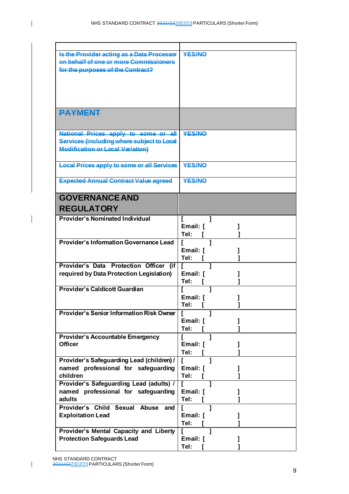| Is the Provider acting as a Data Processor<br>on behalf of one or more Commissioners<br>for the purposes of the Contract?     | <b>YES/NO</b>                    |
|-------------------------------------------------------------------------------------------------------------------------------|----------------------------------|
|                                                                                                                               |                                  |
| <b>PAYMENT</b>                                                                                                                |                                  |
| National Prices apply to some or all<br>Services (including where subject to Local<br><b>Modification or Local Variation)</b> | <b>YES/NO</b>                    |
| <b>Local Prices apply to some or all Services</b>                                                                             | <b>YES/NO</b>                    |
| <b>Expected Annual Contract Value agreed</b>                                                                                  | <b>YES/NO</b>                    |
| <b>GOVERNANCE AND</b><br><b>REGULATORY</b>                                                                                    |                                  |
| <b>Provider's Nominated Individual</b>                                                                                        | L<br>Email: [<br>Tel:            |
| <b>Provider's Information Governance Lead</b>                                                                                 | $\mathbf{r}$<br>Email: [<br>Tel: |
| Provider's Data Protection Officer (if   [<br>required by Data Protection Legislation)                                        | Email: [<br>Tel:                 |
| <b>Provider's Caldicott Guardian</b>                                                                                          | Email: [<br>Tel: 「               |
| <b>Provider's Senior Information Risk Owner</b>                                                                               | Email: [<br>Tel:                 |
| <b>Provider's Accountable Emergency</b><br><b>Officer</b>                                                                     | I<br>1<br>Email: [<br>Tel:       |
| Provider's Safeguarding Lead (children) /<br>named professional for safeguarding<br>children                                  | Email: [<br>Tel:                 |
| Provider's Safeguarding Lead (adults) /<br>named professional for safeguarding<br>adults                                      | f<br>Email: [<br>Tel:            |
| Provider's Child Sexual Abuse and<br><b>Exploitation Lead</b>                                                                 | Email: [<br>Tel:                 |
| Provider's Mental Capacity and Liberty<br><b>Protection Safeguards Lead</b>                                                   | Email: [<br>Tel:                 |

 $\overline{1}$ 

 $\overline{\phantom{a}}$ 

NHS STANDARD CONTRACT

<sup>2021/222022/23</sup>PARTICULARS (Shorter Form)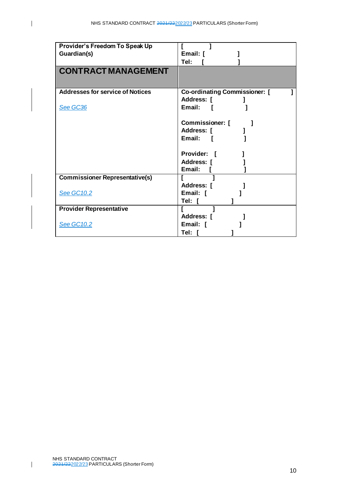| Provider's Freedom To Speak Up          |                                      |
|-----------------------------------------|--------------------------------------|
| Guardian(s)                             | Email: [                             |
|                                         | Tel:                                 |
|                                         |                                      |
| <b>CONTRACT MANAGEMENT</b>              |                                      |
|                                         |                                      |
|                                         |                                      |
| <b>Addresses for service of Notices</b> | <b>Co-ordinating Commissioner:</b> [ |
|                                         | Address: [                           |
|                                         | Email:                               |
| See GC36                                |                                      |
|                                         |                                      |
|                                         | Commissioner: [                      |
|                                         | Address: [                           |
|                                         | Email:                               |
|                                         |                                      |
|                                         | <b>Provider:</b>                     |
|                                         | Address: [                           |
|                                         | Email:                               |
|                                         |                                      |
| <b>Commissioner Representative(s)</b>   |                                      |
|                                         | Address: [                           |
| <b>See GC10.2</b>                       | Email: [                             |
|                                         | Tel: I                               |
| <b>Provider Representative</b>          |                                      |
|                                         | Address: [                           |
| <b>See GC10.2</b>                       | Email: [                             |
|                                         |                                      |
|                                         | Tel: [                               |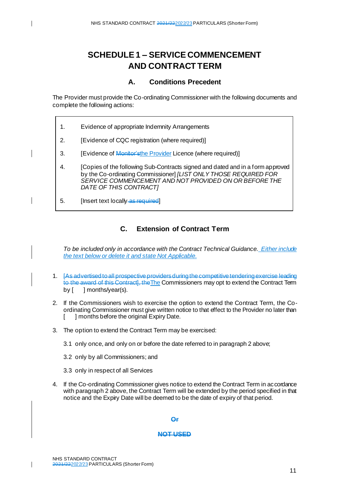# **SCHEDULE 1 – SERVICE COMMENCEMENT AND CONTRACT TERM**

### **A. Conditions Precedent**

The Provider must provide the Co-ordinating Commissioner with the following documents and complete the following actions:

- 1. Evidence of appropriate Indemnity Arrangements
- 2. [Evidence of CQC registration (where required)]
- 3. [Evidence of Monitor'sthe Provider Licence (where required)]
- 4. [Copies of the following Sub-Contracts signed and dated and in a form approved by the Co-ordinating Commissioner] *[LIST ONLY THOSE REQUIRED FOR SERVICE COMMENCEMENT AND NOT PROVIDED ON OR BEFORE THE DATE OF THIS CONTRACT]*
- 5. [Insert text locally as required]

# **C. Extension of Contract Term**

*To be included only in accordance with the Contract Technical Guidance. Either include the text below or delete it and state Not Applicable.*

- 1. [As advertised to all prospective providers during the competitive tendering exercise leading to the award of this Contract], theThe Commissioners may opt to extend the Contract Term by [ ] months/year(s).
- 2. If the Commissioners wish to exercise the option to extend the Contract Term, the Coordinating Commissioner must give written notice to that effect to the Provider no later than [ ] months before the original Expiry Date.
- 3. The option to extend the Contract Term may be exercised:
	- 3.1 only once, and only on or before the date referred to in paragraph 2 above;
	- 3.2 only by all Commissioners; and
	- 3.3 only in respect of all Services
- 4. If the Co-ordinating Commissioner gives notice to extend the Contract Term in accordance with paragraph 2 above, the Contract Term will be extended by the period specified in that notice and the Expiry Date will be deemed to be the date of expiry of that period.

#### **Or**

#### **NOT USED**

 $\overline{\phantom{a}}$ 

ı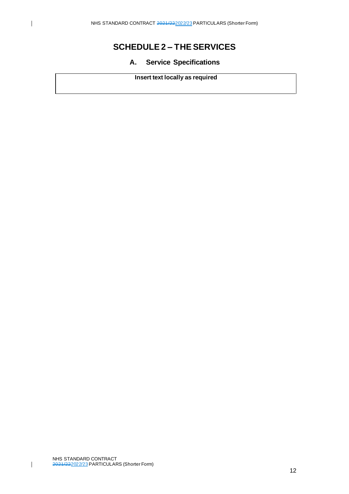$\overline{\phantom{a}}$ 

# **SCHEDULE 2 – THE SERVICES**

# **A. Service Specifications**

# **Insert text locally as required**

NHS STANDARD CONTRACT 2021/222022/23PARTICULARS (Shorter Form)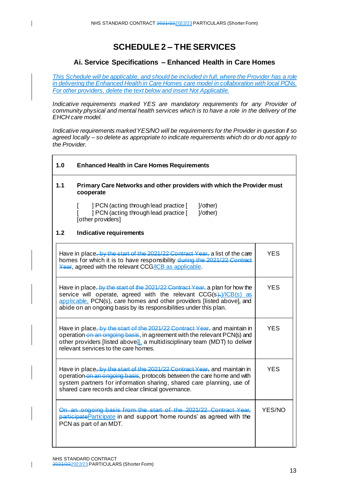$\mathbf{I}$ 

# **SCHEDULE 2 – THE SERVICES**

# **Ai. Service Specifications – Enhanced Health in Care Homes**

*This Schedule will be applicable, and should be included in full, where the Provider has a role in delivering the Enhanced Health in Care Homes care model in collaboration with local PCNs. For other providers, delete the text below and insert Not Applicable.* 

*Indicative requirements marked YES are mandatory requirements for any Provider of community physical and mental health services which is to have a role in the delivery of the EHCH care model.* 

*Indicative requirements marked YES/NO will be requirements for the Provider in question if so agreed locally – so delete as appropriate to indicate requirements which do or do not apply to the Provider.*

| 1.0                                                                                                                                                                                                                                                                                                     | <b>Enhanced Health in Care Homes Requirements</b>                                                                                                                                                                                                                                  |        |  |  |  |
|---------------------------------------------------------------------------------------------------------------------------------------------------------------------------------------------------------------------------------------------------------------------------------------------------------|------------------------------------------------------------------------------------------------------------------------------------------------------------------------------------------------------------------------------------------------------------------------------------|--------|--|--|--|
| 1.1                                                                                                                                                                                                                                                                                                     | Primary Care Networks and other providers with which the Provider must<br>cooperate                                                                                                                                                                                                |        |  |  |  |
|                                                                                                                                                                                                                                                                                                         | ] PCN (acting through lead practice [<br>$1$ /other)<br>] PCN (acting through lead practice [<br>1/other)<br>[other providers]                                                                                                                                                     |        |  |  |  |
| 1.2                                                                                                                                                                                                                                                                                                     | Indicative requirements                                                                                                                                                                                                                                                            |        |  |  |  |
|                                                                                                                                                                                                                                                                                                         | Have in place, by the start of the 2021/22 Contract Year, a list of the care<br>homes for which it is to have responsibility during the 2021/22 Contract<br>Year, agreed with the relevant CCG/ICB as applicable.                                                                  | YES    |  |  |  |
| Have in place, by the start of the 2021/22 Contract Year, a plan for how the<br>service will operate, agreed with the relevant $CCG(s)$ , $/(CB(s))$ as<br>applicable. PCN(s), care homes and other providers [listed above], and<br>abide on an ongoing basis by its responsibilities under this plan. | YES                                                                                                                                                                                                                                                                                |        |  |  |  |
|                                                                                                                                                                                                                                                                                                         | Have in place, by the start of the 2021/22 Contract Year, and maintain in<br>YES<br>operation on an engoing basis, in agreement with the relevant PCN(s) and<br>other providers [listed above]], a multidisciplinary team (MDT) to deliver<br>relevant services to the care homes. |        |  |  |  |
| Have in place, by the start of the 2021/22 Contract Year, and maintain in<br>operation on an ongoing basis, protocols between the care home and with<br>system partners for information sharing, shared care planning, use of<br>shared care records and clear clinical governance.                     | YES.                                                                                                                                                                                                                                                                               |        |  |  |  |
|                                                                                                                                                                                                                                                                                                         | On an ongoing basis from the start of the 2021/22 Contract Year.<br>participate Participate in and support 'home rounds' as agreed with the<br>PCN as part of an MDT.                                                                                                              | YES/NO |  |  |  |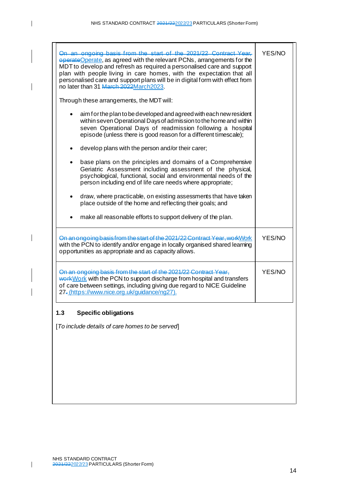| On an ongoing basis from the start of the 2021/22 Contract Year.<br>operateOperate, as agreed with the relevant PCNs, arrangements for the<br>MDT to develop and refresh as required a personalised care and support<br>plan with people living in care homes, with the expectation that all<br>personalised care and support plans will be in digital form with effect from<br>no later than 31 March 2022March 2023 | YES/NO |
|-----------------------------------------------------------------------------------------------------------------------------------------------------------------------------------------------------------------------------------------------------------------------------------------------------------------------------------------------------------------------------------------------------------------------|--------|
| Through these arrangements, the MDT will:                                                                                                                                                                                                                                                                                                                                                                             |        |
| aim for the plan to be developed and agreed with each new resident<br>within seven Operational Days of admission to the home and within<br>seven Operational Days of readmission following a hospital<br>episode (unless there is good reason for a different timescale);                                                                                                                                             |        |
| develop plans with the person and/or their carer;                                                                                                                                                                                                                                                                                                                                                                     |        |
| base plans on the principles and domains of a Comprehensive<br>Geriatric Assessment including assessment of the physical,<br>psychological, functional, social and environmental needs of the<br>person including end of life care needs where appropriate;                                                                                                                                                           |        |
| draw, where practicable, on existing assessments that have taken<br>٠<br>place outside of the home and reflecting their goals; and                                                                                                                                                                                                                                                                                    |        |
| make all reasonable efforts to support delivery of the plan.                                                                                                                                                                                                                                                                                                                                                          |        |
| On an ongoing basis from the start of the 2021/22 Contract Year, work Work<br>with the PCN to identify and/or engage in locally organised shared learning<br>opportunities as appropriate and as capacity allows.                                                                                                                                                                                                     | YES/NO |
| On an ongoing basis from the start of the 2021/22 Contract Year,<br>work Work with the PCN to support discharge from hospital and transfers<br>of care between settings, including giving due regard to NICE Guideline<br>27-(https://www.nice.org.uk/guidance/ng27).                                                                                                                                                 | YES/NO |
| <b>Specific obligations</b><br>1.3                                                                                                                                                                                                                                                                                                                                                                                    |        |
| [To include details of care homes to be served]                                                                                                                                                                                                                                                                                                                                                                       |        |
|                                                                                                                                                                                                                                                                                                                                                                                                                       |        |

 $\overline{\phantom{a}}$ 

 $\overline{\phantom{a}}$ 

 $\overline{\mathbf{I}}$ 

 $\overline{\phantom{a}}$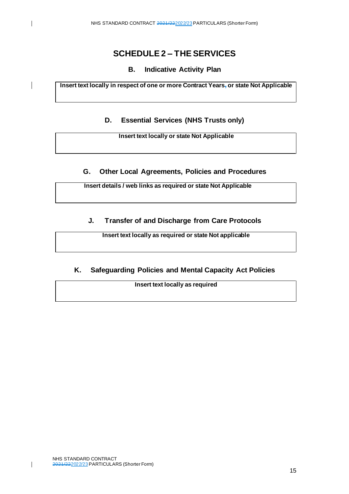# **SCHEDULE 2 – THE SERVICES**

# **B. Indicative Activity Plan**

**Insert text locally in respect of one or more Contract Years, or state Not Applicable**

# **D. Essential Services (NHS Trusts only)**

**Insert text locally or state Not Applicable**

### **G. Other Local Agreements, Policies and Procedures**

**Insert details / web links as required or state Not Applicable**

# **J. Transfer of and Discharge from Care Protocols**

**Insert text locally as required or state Not applicable**

# **K. Safeguarding Policies and Mental Capacity Act Policies**

**Insert text locally as required**

 $\overline{1}$ 

 $\overline{\phantom{a}}$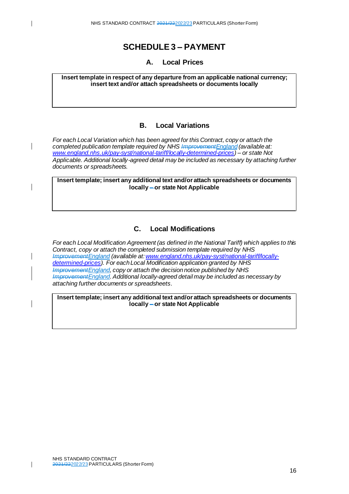# **SCHEDULE 3 – PAYMENT**

#### **A. Local Prices**

**Insert template in respect of any departure from an applicable national currency; insert text and/or attach spreadsheets or documents locally**

#### **B. Local Variations**

*For each Local Variation which has been agreed for this Contract, copy or attach the completed publication template required by NHS ImprovementEngland (available at: [www.england.nhs.uk/pay-syst/national-tariff/locally-determined-prices](http://www.england.nhs.uk/pay-syst/national-tariff/locally-determined-prices)) – or state Not Applicable. Additional locally-agreed detail may be included as necessary by attaching further documents or spreadsheets.*

**Insert template; insert any additional text and/or attach spreadsheets or documents locally – or state Not Applicable**

# **C. Local Modifications**

*For each Local Modification Agreement (as defined in the National Tariff) which applies to this Contract, copy or attach the completed submission template required by NHS ImprovementEngland (available at[:www.england.nhs.uk/pay-syst/national-tariff/locally](http://www.england.nhs.uk/pay-syst/national-tariff/locally-determined-prices)[determined-prices](http://www.england.nhs.uk/pay-syst/national-tariff/locally-determined-prices)). For each Local Modification application granted by NHS ImprovementEngland, copy or attach the decision notice published by NHS ImprovementEngland. Additional locally-agreed detail may be included as necessary by attaching further documents or spreadsheets*.

**Insert template; insert any additional text and/or attach spreadsheets or documents locally – or state Not Applicable**

 $\mathbf{I}$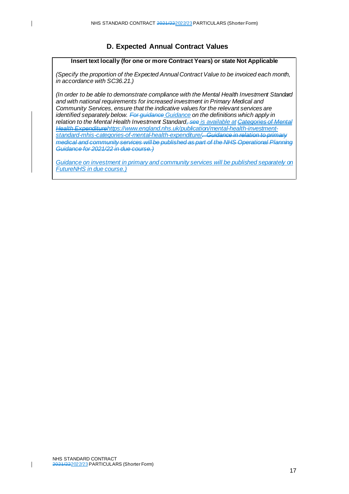# **D. Expected Annual Contract Values**

#### **Insert text locally (for one or more Contract Years) or state Not Applicable**

*(Specify the proportion of the Expected Annual Contract Value to be invoiced each month, in accordance with SC36.21.)*

*(In order to be able to demonstrate compliance with the Mental Health Investment Standard and with national requirements for increased investment in Primary Medical and Community Services, ensure that the indicative values for the relevant services are identified separately below. For guidance Guidance on the definitions which apply in relation to the Mental Health Investment Standard, see is available at [Categories of Mental](https://www.england.nhs.uk/publication/mental-health-investment-standard-mhis-categories-of-mental-health-expenditure/)  [Health Expenditurehttps://www.england.nhs.uk/publication/mental-health-investment](https://www.england.nhs.uk/publication/mental-health-investment-standard-mhis-categories-of-mental-health-expenditure/)[standard-mhis-categories-of-mental-health-expenditure/.](https://www.england.nhs.uk/publication/mental-health-investment-standard-mhis-categories-of-mental-health-expenditure/) Guidance in relation to primary medical and community services will be published as part of the NHS Operational Planning Guidance for 2021/22 in due course.)*

*Guidance on investment in primary and community services will be published separately on [FutureNHS](https://future.nhs.uk/system/login?login=Y) in due course.)*

 $\mathbf{I}$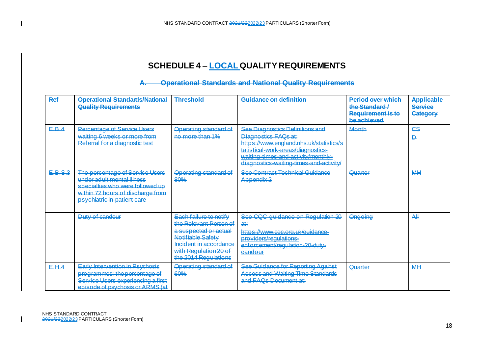# **SCHEDULE 4 – LOCAL QUALITY REQUIREMENTS**

#### **A. Operational Standards and National Quality Requirements**

| <b>Ref</b> | <b>Operational Standards/National</b><br><b>Quality Requirements</b>                                                                                                  | Threshold                                                                                                                                                                 | Guidance on definition                                                                                                                                                                                                     | <b>Pariod over which</b><br>the Standard /<br>Requirement is to<br>be achieved | <b>Applicable</b><br><b>Service</b><br><b>Category</b> |
|------------|-----------------------------------------------------------------------------------------------------------------------------------------------------------------------|---------------------------------------------------------------------------------------------------------------------------------------------------------------------------|----------------------------------------------------------------------------------------------------------------------------------------------------------------------------------------------------------------------------|--------------------------------------------------------------------------------|--------------------------------------------------------|
| E.B.4      | Percentage of Service Heere<br>waiting 6 weeks or more from<br>Referral for a diagnostic test                                                                         | Operating standard of<br>no more than 1%                                                                                                                                  | See Diagnostics Definitions and<br>Diagnostics FAQs at:<br>https://www.england.nhs.uk/statistics/s<br>tatistical-work-areas/diagnostics-<br>waiting-times-and-activity/monthly-<br>diagnostics-waiting-times-and-activity/ | Month                                                                          | CS<br>D                                                |
| E.B.S.3    | The percentage of Service Users<br>under adult mental illness<br>specialties who were followed up<br>within 72 hours of discharge from<br>psychiatric in-patient care | <b>Operating standard of</b><br>80%                                                                                                                                       | <b>See Contract Technical Guidance</b><br>Appendix <sub>2</sub>                                                                                                                                                            | Quarter                                                                        | M <sub>H</sub>                                         |
|            | Duty of candour                                                                                                                                                       | Each failure to notify<br>the Relevant Person of<br>a suspected or actual<br>Notifiable Safety<br>Incident in accordance<br>with Regulation 20 of<br>the 2014 Regulations | See CQC guidance on Regulation 20<br>a₩<br>https://www.cqc.org.uk/guidance-<br>providers/regulations-<br>enforcement/regulation-20-duty-<br><b>Gandour</b>                                                                 | Ongoing                                                                        | Аll                                                    |
| E.H.4      | <b>Early Intervention in Psychosis</b><br>programmes: the percentage of<br>Service Users experiencing a first<br>episode of psychosis or ARMS (at                     | <b>Operating standard of</b><br>60%                                                                                                                                       | See Guidance for Reporting Against<br><b>Access and Waiting Time Standards</b><br>and FAQs Document at:                                                                                                                    | Quarter                                                                        | M <sub>H</sub>                                         |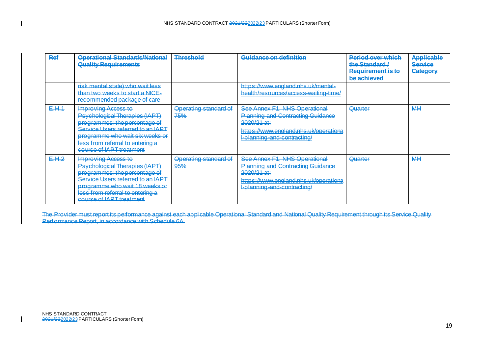| Ref   | <b>Operational Standards/National</b><br><b>Quality Requirements</b>                                                                                                                                                                  | <b>Threshold</b>                    | Guidance on definition                                                                                                                                                      | <b>Period over which</b><br>the Standard /<br><b>Requirement is to</b><br>he achieved | <b>Applicable</b><br><b>Service</b><br>Category |
|-------|---------------------------------------------------------------------------------------------------------------------------------------------------------------------------------------------------------------------------------------|-------------------------------------|-----------------------------------------------------------------------------------------------------------------------------------------------------------------------------|---------------------------------------------------------------------------------------|-------------------------------------------------|
|       | risk mental state) who wait less<br>than two weeks to start a NICE-<br>recommended package of care                                                                                                                                    |                                     | https://www.england.nhs.uk/mental-<br>health/resources/access-waiting-time/                                                                                                 |                                                                                       |                                                 |
| E.H.1 | <b>Improving Access to</b><br>Psychological Therapies (IAPT)<br>programmes: the percentage of<br>Service Users referred to an IAPT<br>programme who wait six weeks or<br>less from referral to entering a<br>COURSe of IAPT treatment | <b>Operating standard of</b><br>75% | See Annex F1, NHS Operational<br><b>Planning and Contracting Guidance</b><br>$2020/21$ at:<br>https://www.england.nhs.uk/operationa<br>-planning-and-contracting/           | Quarter                                                                               | MĦ                                              |
| E.H.2 | <b>Improving Access to</b><br>Psychological Therapies (IAPT)<br>programmes: the percentage of<br>Service Users referred to an IAPT<br>programme who wait 18 weeks or<br>less from referral to entering a<br>course of IAPT treatment  | <b>Operating standard of</b><br>95% | See Annex F1, NHS Operational<br><b>Planning and Contracting Guidance</b><br><del>2020/21 at:</del><br>https://www.england.nhs.uk/operationa<br>I-planning-and-contracting/ | <b>Quarter</b>                                                                        | ΜĦ                                              |

The Provider must report its performance against each applicable Operational Standard and National Quality Requirement through its Service Quality Performance Report, in accordance with Schedule 6A.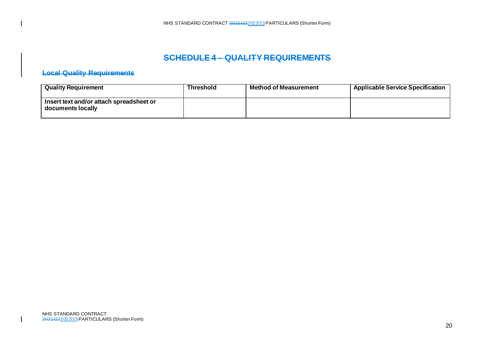# **SCHEDULE 4 – QUALITY REQUIREMENTS**

# **Local Quality Requirements**

| <b>Quality Requirement</b>                                    | Threshold | <b>Method of Measurement</b> | <b>Applicable Service Specification</b> |
|---------------------------------------------------------------|-----------|------------------------------|-----------------------------------------|
| Insert text and/or attach spreadsheet or<br>documents locally |           |                              |                                         |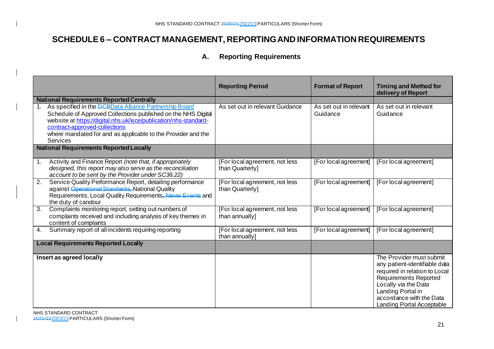# **SCHEDULE 6 – CONTRACT MANAGEMENT, REPORTING AND INFORMATION REQUIREMENTS**

# **A. Reporting Requirements**

|    |                                                                                                                                                                                                                                                                                                                  | <b>Reporting Period</b>                           | <b>Format of Report</b>            | <b>Timing and Method for</b><br>delivery of Report                                                                                                                                                                               |
|----|------------------------------------------------------------------------------------------------------------------------------------------------------------------------------------------------------------------------------------------------------------------------------------------------------------------|---------------------------------------------------|------------------------------------|----------------------------------------------------------------------------------------------------------------------------------------------------------------------------------------------------------------------------------|
|    | <b>National Requirements Reported Centrally</b>                                                                                                                                                                                                                                                                  |                                                   |                                    |                                                                                                                                                                                                                                  |
|    | As specified in the <b>DCBD</b> ata Alliance Partnership Board<br>Schedule of Approved Collections published on the NHS Digital<br>website at https://digital.nhs.uk/isce/publication/nhs-standard-<br>contract-approved-collections<br>where mandated for and as applicable to the Provider and the<br>Services | As set out in relevant Guidance                   | As set out in relevant<br>Guidance | As set out in relevant<br>Guidance                                                                                                                                                                                               |
|    | <b>National Requirements Reported Locally</b>                                                                                                                                                                                                                                                                    |                                                   |                                    |                                                                                                                                                                                                                                  |
| 1. | Activity and Finance Report (note that, if appropriately<br>designed, this report may also serve as the reconciliation<br>account to be sent by the Provider under SC36.22)                                                                                                                                      | [For local agreement, not less<br>than Quarterly] | [For local agreement]              | [For local agreement]                                                                                                                                                                                                            |
| 2. | Service Quality Performance Report, detailing performance<br>against Operational Standards, National Quality<br>Requirements, Local Quality Requirements, Never Events and<br>the duty of candour                                                                                                                | [For local agreement, not less<br>than Quarterly] | [For local agreement]              | [For local agreement]                                                                                                                                                                                                            |
| 3. | Complaints monitoring report, setting out numbers of<br>complaints received and including analysis of key themes in<br>content of complaints                                                                                                                                                                     | [For local agreement, not less<br>than annually]  | [For local agreement]              | [For local agreement]                                                                                                                                                                                                            |
| 4. | Summary report of all incidents requiring reporting                                                                                                                                                                                                                                                              | [For local agreement, not less<br>than annually]  | [For local agreement]              | [For local agreement]                                                                                                                                                                                                            |
|    | <b>Local Requirements Reported Locally</b>                                                                                                                                                                                                                                                                       |                                                   |                                    |                                                                                                                                                                                                                                  |
|    | Insert as agreed locally                                                                                                                                                                                                                                                                                         |                                                   |                                    | The Provider must submit<br>any patient-identifiable data<br>required in relation to Local<br><b>Requirements Reported</b><br>Locally via the Data<br>Landing Portal in<br>accordance with the Data<br>Landing Portal Acceptable |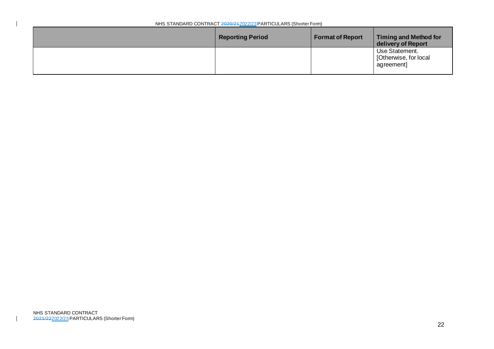| NHS STANDARD CONTRACT 2020/212022/23 PARTICULARS (Shorter Form) |                         |                         |                                                         |  |
|-----------------------------------------------------------------|-------------------------|-------------------------|---------------------------------------------------------|--|
|                                                                 | <b>Reporting Period</b> | <b>Format of Report</b> | Timing and Method for<br>delivery of Report             |  |
|                                                                 |                         |                         | Use Statement.<br>  [Otherwise, for local<br>agreement] |  |

 $\overline{\phantom{a}}$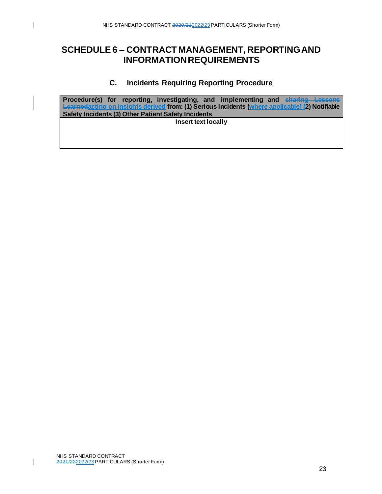# **SCHEDULE 6 – CONTRACT MANAGEMENT, REPORTING AND INFORMATION REQUIREMENTS**

# **C. Incidents Requiring Reporting Procedure**

**Procedure(s) for reporting, investigating, and implementing and sharing Lessons Learnedacting on insights derived from: (1) Serious Incidents (where applicable) (2) Notifiable Safety Incidents (3) Other Patient Safety Incidents Insert text locally**

 $\mathsf{l}$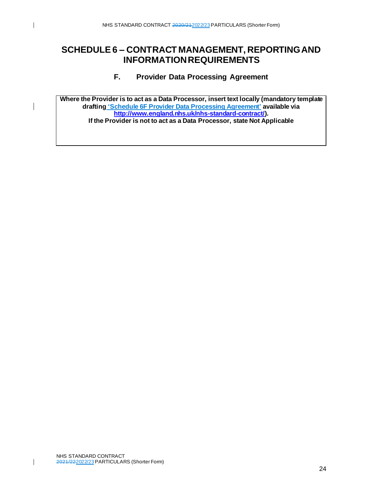# **SCHEDULE 6 – CONTRACT MANAGEMENT, REPORTING AND INFORMATION REQUIREMENTS**

# **F. Provider Data Processing Agreement**

**Where the Provider is to act as a Data Processor, insert text locally (mandatory template drafting 'Schedule 6F Provider Data Processing Agreement' available via [http://www.england.nhs.uk/nhs-standard-contract/\)](http://www.england.nhs.uk/nhs-standard-contract/). If the Provider is not to act as a Data Processor, state Not Applicable**

 $\mathsf{l}$ 

 $\mathsf{l}$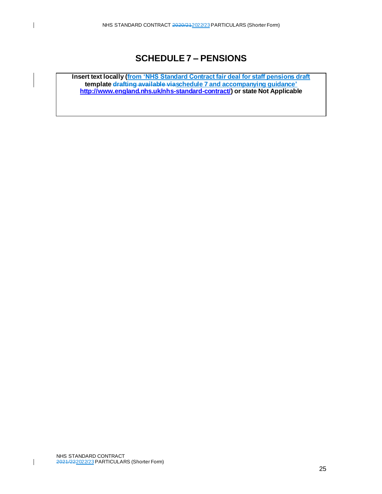# **SCHEDULE 7 – PENSIONS**

**Insert text locally (from 'NHS Standard Contract fair deal for staff pensions draft template drafting available viaschedule 7 and accompanying guidance' <http://www.england.nhs.uk/nhs-standard-contract/>) or state Not Applicable**

 $\overline{1}$ 

 $\mathbf l$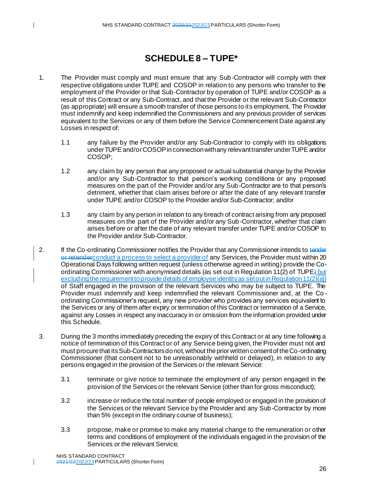# **SCHEDULE 8 – TUPE\***

- 1. The Provider must comply and must ensure that any Sub-Contractor will comply with their respective obligations under TUPE and COSOP in relation to any persons who transfer to the employment of the Provider or that Sub-Contractor by operation of TUPE and/or COSOP as a result of this Contract or any Sub-Contract, and that the Provider or the relevant Sub-Contractor (as appropriate) will ensure a smooth transfer of those persons to its employment. The Provider must indemnify and keep indemnified the Commissioners and any previous provider of services equivalent to the Services or any of them before the Service Commencement Date against any Losses in respect of:
	- 1.1 any failure by the Provider and/or any Sub-Contractor to comply with its obligations under TUPE and/or COSOP in connection with any relevant transfer under TUPE and/or COSOP;
	- 1.2 any claim by any person that any proposed or actual substantial change by the Provider and/or any Sub-Contractor to that person's working conditions or any proposed measures on the part of the Provider and/or any Sub-Contractor are to that person's detriment, whether that claim arises before or after the date of any relevant transfer under TUPE and/or COSOP to the Provider and/or Sub-Contractor; and/or
	- 1.3 any claim by any person in relation to any breach of contract arising from any proposed measures on the part of the Provider and/or any Sub-Contractor, whether that claim arises before or after the date of any relevant transfer under TUPE and/or COSOP to the Provider and/or Sub-Contractor.
- 2. If the Co-ordinating Commissioner notifies the Provider that any Commissioner intends to tender or retenderconduct a process to select a provider of any Services, the Provider must within 20 Operational Days following written request (unless otherwise agreed in writing) provide the Coordinating Commissioner with anonymised details (as set out in Regulation 11(2) of TUPE<sup>1</sup> but excluding the requirement to provide details of employee identity as set out in Regulation 11(2)(a)) of Staff engaged in the provision of the relevant Services who may be subject to TUPE. The Provider must indemnify and keep indemnified the relevant Commissioner and, at the Co ordinating Commissioner's request, any new provider who provides any services equivalent to the Services or any of them after expiry or termination of this Contract or termination of a Service, against any Losses in respect any inaccuracy in or omission from the information provided under this Schedule.
- 3. During the 3 months immediately preceding the expiry of this Contract or at any time following a notice of termination of this Contract or of any Service being given, the Provider must not and must procure that its Sub-Contractors do not, without the prior written consent of the Co-ordinating Commissioner (that consent not to be unreasonably withheld or delayed), in relation to any persons engaged in the provision of the Services or the relevant Service:
	- 3.1 terminate or give notice to terminate the employment of any person engaged in the provision of the Services or the relevant Service (other than for gross misconduct);
	- 3.2 increase or reduce the total number of people employed or engaged in the provision of the Services or the relevant Service by the Provider and any Sub-Contractor by more than 5% (except in the ordinary course of business);
	- 3.3 propose, make or promise to make any material change to the remuneration or other terms and conditions of employment of the individuals engaged in the provision of the Services or the relevant Service;

I